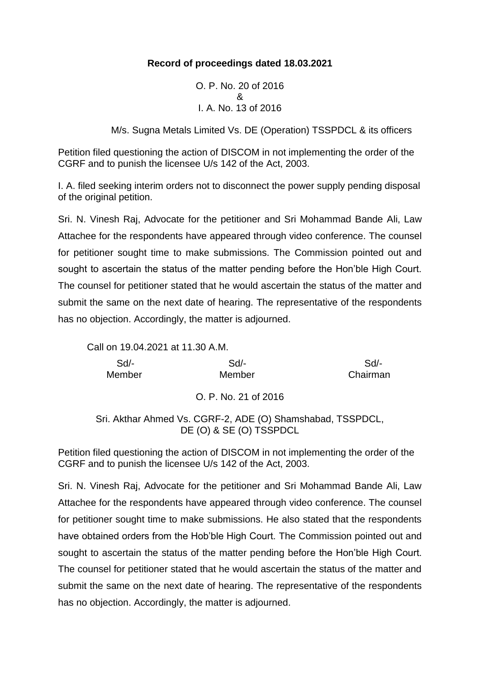### **Record of proceedings dated 18.03.2021**

O. P. No. 20 of 2016 & I. A. No. 13 of 2016

M/s. Sugna Metals Limited Vs. DE (Operation) TSSPDCL & its officers

Petition filed questioning the action of DISCOM in not implementing the order of the CGRF and to punish the licensee U/s 142 of the Act, 2003.

I. A. filed seeking interim orders not to disconnect the power supply pending disposal of the original petition.

Sri. N. Vinesh Raj, Advocate for the petitioner and Sri Mohammad Bande Ali, Law Attachee for the respondents have appeared through video conference. The counsel for petitioner sought time to make submissions. The Commission pointed out and sought to ascertain the status of the matter pending before the Hon'ble High Court. The counsel for petitioner stated that he would ascertain the status of the matter and submit the same on the next date of hearing. The representative of the respondents has no objection. Accordingly, the matter is adjourned.

Call on 19.04.2021 at 11.30 A.M.

| Sd/-   | $Sd$ - | Sd/-     |
|--------|--------|----------|
| Member | Member | Chairman |

O. P. No. 21 of 2016

Sri. Akthar Ahmed Vs. CGRF-2, ADE (O) Shamshabad, TSSPDCL, DE (O) & SE (O) TSSPDCL

Petition filed questioning the action of DISCOM in not implementing the order of the CGRF and to punish the licensee U/s 142 of the Act, 2003.

Sri. N. Vinesh Raj, Advocate for the petitioner and Sri Mohammad Bande Ali, Law Attachee for the respondents have appeared through video conference. The counsel for petitioner sought time to make submissions. He also stated that the respondents have obtained orders from the Hob'ble High Court. The Commission pointed out and sought to ascertain the status of the matter pending before the Hon'ble High Court. The counsel for petitioner stated that he would ascertain the status of the matter and submit the same on the next date of hearing. The representative of the respondents has no objection. Accordingly, the matter is adjourned.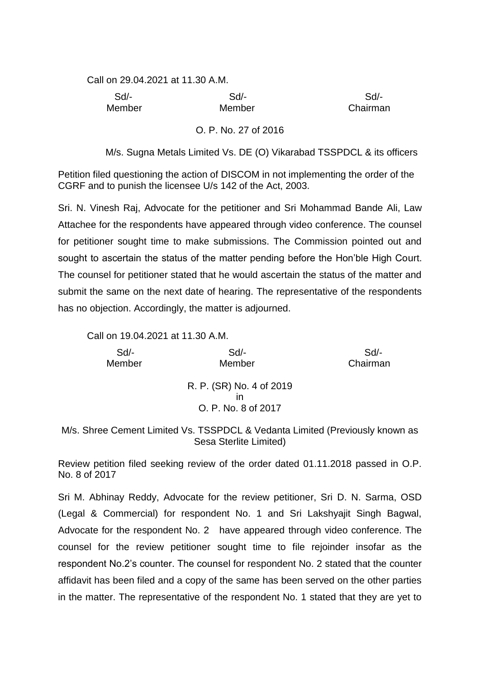Call on 29.04.2021 at 11.30 A.M.

 Sd/- Sd/- Sd/- Member Member Chairman

#### O. P. No. 27 of 2016

M/s. Sugna Metals Limited Vs. DE (O) Vikarabad TSSPDCL & its officers

Petition filed questioning the action of DISCOM in not implementing the order of the CGRF and to punish the licensee U/s 142 of the Act, 2003.

Sri. N. Vinesh Raj, Advocate for the petitioner and Sri Mohammad Bande Ali, Law Attachee for the respondents have appeared through video conference. The counsel for petitioner sought time to make submissions. The Commission pointed out and sought to ascertain the status of the matter pending before the Hon'ble High Court. The counsel for petitioner stated that he would ascertain the status of the matter and submit the same on the next date of hearing. The representative of the respondents has no objection. Accordingly, the matter is adjourned.

Call on 19.04.2021 at 11.30 A.M.

| $Sd$ - | $Sd$ -                                                | Sd       |
|--------|-------------------------------------------------------|----------|
| Member | Member                                                | Chairman |
|        | R. P. (SR) No. 4 of 2019<br>ın<br>O. P. No. 8 of 2017 |          |

M/s. Shree Cement Limited Vs. TSSPDCL & Vedanta Limited (Previously known as Sesa Sterlite Limited)

Review petition filed seeking review of the order dated 01.11.2018 passed in O.P. No. 8 of 2017

Sri M. Abhinay Reddy, Advocate for the review petitioner, Sri D. N. Sarma, OSD (Legal & Commercial) for respondent No. 1 and Sri Lakshyajit Singh Bagwal, Advocate for the respondent No. 2 have appeared through video conference. The counsel for the review petitioner sought time to file rejoinder insofar as the respondent No.2's counter. The counsel for respondent No. 2 stated that the counter affidavit has been filed and a copy of the same has been served on the other parties in the matter. The representative of the respondent No. 1 stated that they are yet to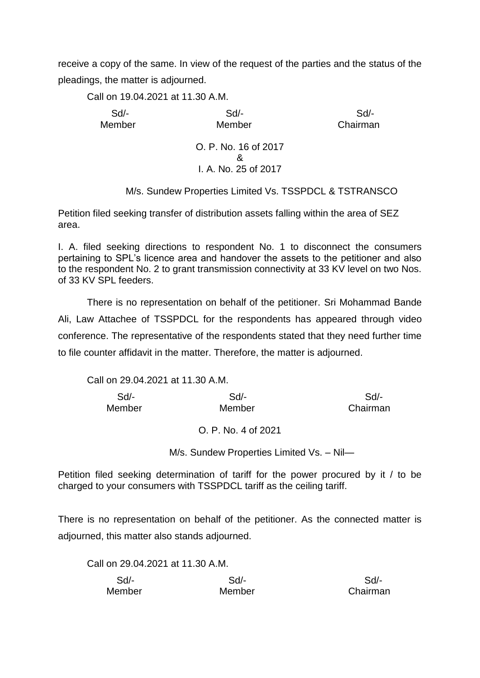receive a copy of the same. In view of the request of the parties and the status of the pleadings, the matter is adjourned.

Call on 19.04.2021 at 11.30 A.M.

 Sd/- Sd/- Sd/- Member Member Chairman

O. P. No. 16 of 2017 & I. A. No. 25 of 2017

M/s. Sundew Properties Limited Vs. TSSPDCL & TSTRANSCO

Petition filed seeking transfer of distribution assets falling within the area of SEZ area.

I. A. filed seeking directions to respondent No. 1 to disconnect the consumers pertaining to SPL's licence area and handover the assets to the petitioner and also to the respondent No. 2 to grant transmission connectivity at 33 KV level on two Nos. of 33 KV SPL feeders.

There is no representation on behalf of the petitioner. Sri Mohammad Bande Ali, Law Attachee of TSSPDCL for the respondents has appeared through video conference. The representative of the respondents stated that they need further time to file counter affidavit in the matter. Therefore, the matter is adjourned.

Call on 29.04.2021 at 11.30 A.M.

| Sd/-   | Sd/-   | Sd/-     |
|--------|--------|----------|
| Member | Member | Chairman |

O. P. No. 4 of 2021

M/s. Sundew Properties Limited Vs. – Nil—

Petition filed seeking determination of tariff for the power procured by it / to be charged to your consumers with TSSPDCL tariff as the ceiling tariff.

There is no representation on behalf of the petitioner. As the connected matter is adjourned, this matter also stands adjourned.

Call on 29.04.2021 at 11.30 A.M.

| Sd/-   | Sd/-   | Sd/-     |
|--------|--------|----------|
| Member | Member | Chairman |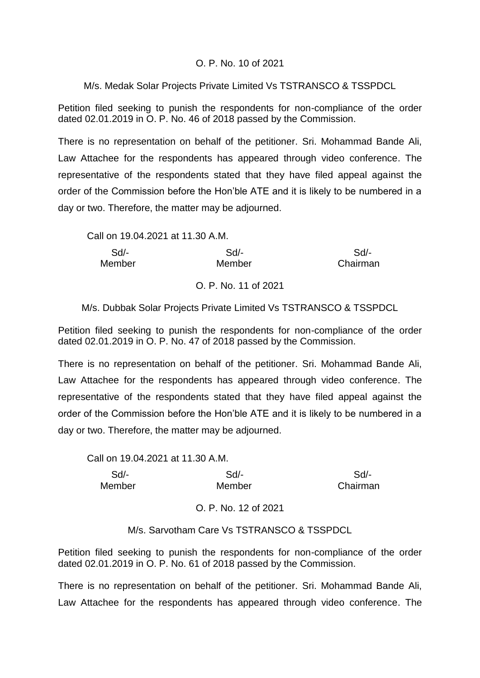#### O. P. No. 10 of 2021

### M/s. Medak Solar Projects Private Limited Vs TSTRANSCO & TSSPDCL

Petition filed seeking to punish the respondents for non-compliance of the order dated 02.01.2019 in O. P. No. 46 of 2018 passed by the Commission.

There is no representation on behalf of the petitioner. Sri. Mohammad Bande Ali, Law Attachee for the respondents has appeared through video conference. The representative of the respondents stated that they have filed appeal against the order of the Commission before the Hon'ble ATE and it is likely to be numbered in a day or two. Therefore, the matter may be adjourned.

| Call on 19.04.2021 at 11.30 A.M. |         |          |
|----------------------------------|---------|----------|
| $Sd$ -                           | $Sd/$ - | $Sd/$ -  |
| Member                           | Member  | Chairman |

O. P. No. 11 of 2021

M/s. Dubbak Solar Projects Private Limited Vs TSTRANSCO & TSSPDCL

Petition filed seeking to punish the respondents for non-compliance of the order dated 02.01.2019 in O. P. No. 47 of 2018 passed by the Commission.

There is no representation on behalf of the petitioner. Sri. Mohammad Bande Ali, Law Attachee for the respondents has appeared through video conference. The representative of the respondents stated that they have filed appeal against the order of the Commission before the Hon'ble ATE and it is likely to be numbered in a day or two. Therefore, the matter may be adjourned.

Call on 19.04.2021 at 11.30 A.M.

| Sd/-   | $Sd$ - | Sd       |
|--------|--------|----------|
| Member | Member | Chairman |

M/s. Sarvotham Care Vs TSTRANSCO & TSSPDCL

Petition filed seeking to punish the respondents for non-compliance of the order dated 02.01.2019 in O. P. No. 61 of 2018 passed by the Commission.

There is no representation on behalf of the petitioner. Sri. Mohammad Bande Ali, Law Attachee for the respondents has appeared through video conference. The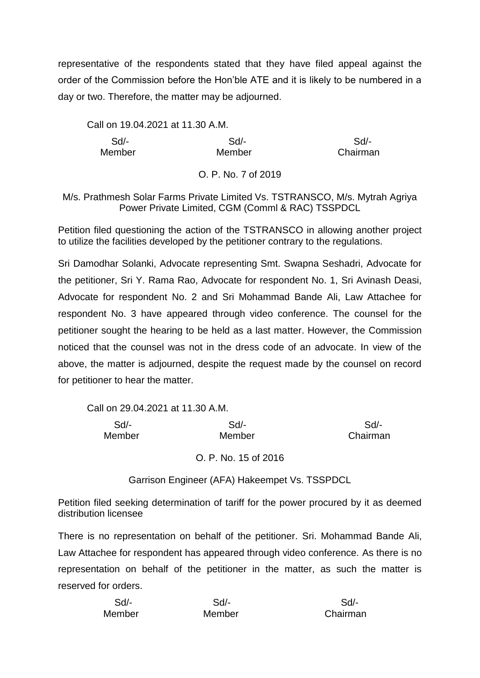representative of the respondents stated that they have filed appeal against the order of the Commission before the Hon'ble ATE and it is likely to be numbered in a day or two. Therefore, the matter may be adjourned.

Call on 19.04.2021 at 11.30 A.M.

 Sd/- Sd/- Sd/- Member Member Chairman

O. P. No. 7 of 2019

M/s. Prathmesh Solar Farms Private Limited Vs. TSTRANSCO, M/s. Mytrah Agriya Power Private Limited, CGM (Comml & RAC) TSSPDCL

Petition filed questioning the action of the TSTRANSCO in allowing another project to utilize the facilities developed by the petitioner contrary to the regulations.

Sri Damodhar Solanki, Advocate representing Smt. Swapna Seshadri, Advocate for the petitioner, Sri Y. Rama Rao, Advocate for respondent No. 1, Sri Avinash Deasi, Advocate for respondent No. 2 and Sri Mohammad Bande Ali, Law Attachee for respondent No. 3 have appeared through video conference. The counsel for the petitioner sought the hearing to be held as a last matter. However, the Commission noticed that the counsel was not in the dress code of an advocate. In view of the above, the matter is adjourned, despite the request made by the counsel on record for petitioner to hear the matter.

Call on 29.04.2021 at 11.30 A.M.

 Sd/- Sd/- Sd/- Member Member Chairman

O. P. No. 15 of 2016

Garrison Engineer (AFA) Hakeempet Vs. TSSPDCL

Petition filed seeking determination of tariff for the power procured by it as deemed distribution licensee

There is no representation on behalf of the petitioner. Sri. Mohammad Bande Ali, Law Attachee for respondent has appeared through video conference. As there is no representation on behalf of the petitioner in the matter, as such the matter is reserved for orders.

| $Sd$ - | Sd/-   | Sd/-     |
|--------|--------|----------|
| Member | Member | Chairman |